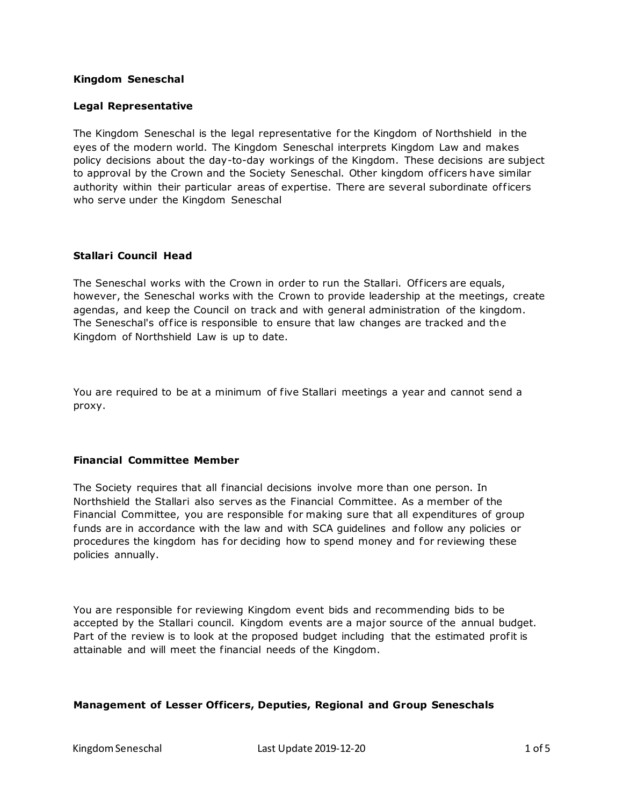#### **Kingdom Seneschal**

# **Legal Representative**

The Kingdom Seneschal is the legal representative for the Kingdom of Northshield in the eyes of the modern world. The Kingdom Seneschal interprets Kingdom Law and makes policy decisions about the day-to-day workings of the Kingdom. These decisions are subject to approval by the Crown and the Society Seneschal. Other kingdom of ficers have similar authority within their particular areas of expertise. There are several subordinate of ficers who serve under the Kingdom Seneschal

# **Stallari Council Head**

The Seneschal works with the Crown in order to run the Stallari. Officers are equals, however, the Seneschal works with the Crown to provide leadership at the meetings, create agendas, and keep the Council on track and with general administration of the kingdom. The Seneschal's of fice is responsible to ensure that law changes are tracked and the Kingdom of Northshield Law is up to date.

You are required to be at a minimum of five Stallari meetings a year and cannot send a proxy.

# **Financial Committee Member**

The Society requires that all financial decisions involve more than one person. In Northshield the Stallari also serves as the Financial Committee. As a member of the Financial Committee, you are responsible for making sure that all expenditures of group funds are in accordance with the law and with SCA guidelines and follow any policies or procedures the kingdom has for deciding how to spend money and for reviewing these policies annually.

You are responsible for reviewing Kingdom event bids and recommending bids to be accepted by the Stallari council. Kingdom events are a major source of the annual budget. Part of the review is to look at the proposed budget including that the estimated profit is attainable and will meet the financial needs of the Kingdom.

# **Management of Lesser Officers, Deputies, Regional and Group Seneschals**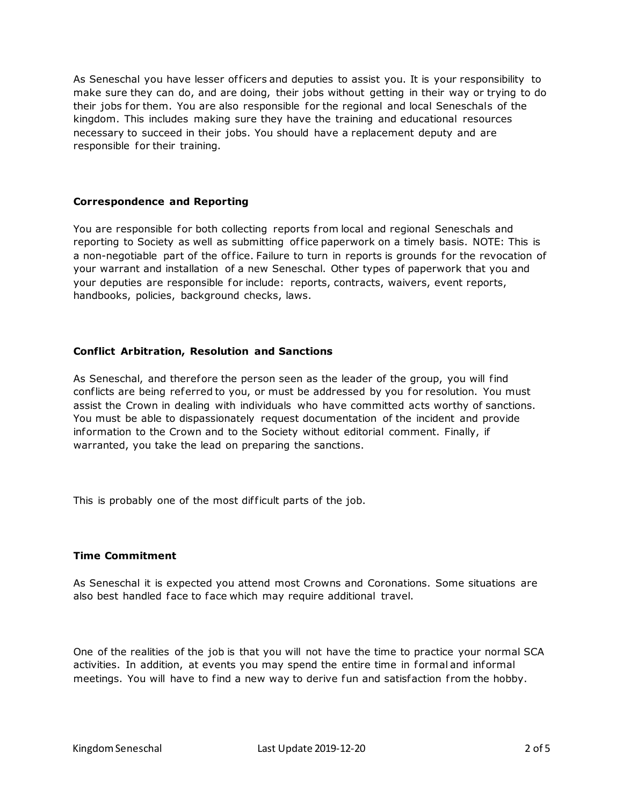As Seneschal you have lesser officers and deputies to assist you. It is your responsibility to make sure they can do, and are doing, their jobs without getting in their way or trying to do their jobs for them. You are also responsible for the regional and local Seneschals of the kingdom. This includes making sure they have the training and educational resources necessary to succeed in their jobs. You should have a replacement deputy and are responsible for their training.

# **Correspondence and Reporting**

You are responsible for both collecting reports from local and regional Seneschals and reporting to Society as well as submitting office paperwork on a timely basis. NOTE: This is a non-negotiable part of the of fice. Failure to turn in reports is grounds for the revocation of your warrant and installation of a new Seneschal. Other types of paperwork that you and your deputies are responsible for include: reports, contracts, waivers, event reports, handbooks, policies, background checks, laws.

# **Conflict Arbitration, Resolution and Sanctions**

As Seneschal, and therefore the person seen as the leader of the group, you will find conflicts are being referred to you, or must be addressed by you for resolution. You must assist the Crown in dealing with individuals who have committed acts worthy of sanctions. You must be able to dispassionately request documentation of the incident and provide information to the Crown and to the Society without editorial comment. Finally, if warranted, you take the lead on preparing the sanctions.

This is probably one of the most difficult parts of the job.

# **Time Commitment**

As Seneschal it is expected you attend most Crowns and Coronations. Some situations are also best handled face to face which may require additional travel.

One of the realities of the job is that you will not have the time to practice your normal SCA activities. In addition, at events you may spend the entire time in formal and informal meetings. You will have to find a new way to derive fun and satisfaction from the hobby.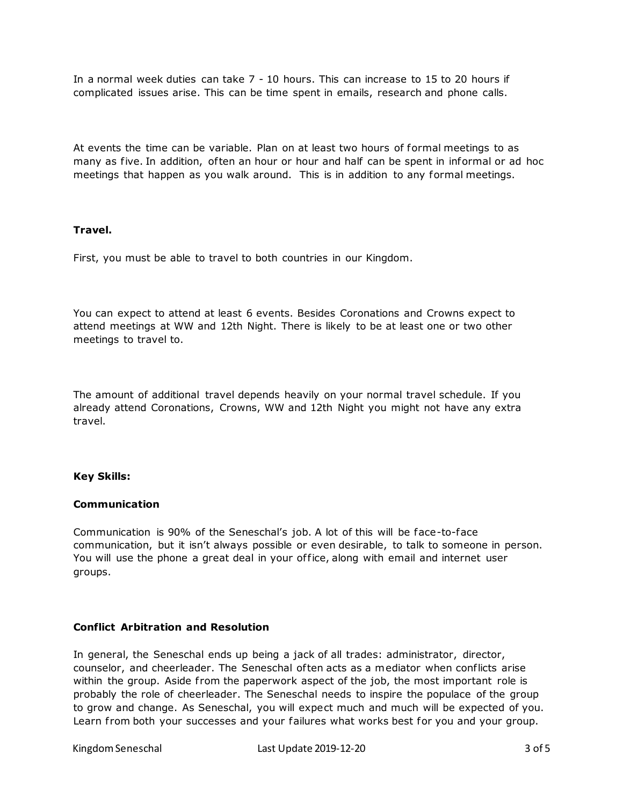In a normal week duties can take 7 - 10 hours. This can increase to 15 to 20 hours if complicated issues arise. This can be time spent in emails, research and phone calls.

At events the time can be variable. Plan on at least two hours of formal meetings to as many as five. In addition, often an hour or hour and half can be spent in informal or ad hoc meetings that happen as you walk around. This is in addition to any formal meetings.

# **Travel.**

First, you must be able to travel to both countries in our Kingdom.

You can expect to attend at least 6 events. Besides Coronations and Crowns expect to attend meetings at WW and 12th Night. There is likely to be at least one or two other meetings to travel to.

The amount of additional travel depends heavily on your normal travel schedule. If you already attend Coronations, Crowns, WW and 12th Night you might not have any extra travel.

# **Key Skills:**

#### **Communication**

Communication is 90% of the Seneschal's job. A lot of this will be face-to-face communication, but it isn't always possible or even desirable, to talk to someone in person. You will use the phone a great deal in your office, along with email and internet user groups.

# **Conflict Arbitration and Resolution**

In general, the Seneschal ends up being a jack of all trades: administrator, director, counselor, and cheerleader. The Seneschal of ten acts as a mediator when conflicts arise within the group. Aside from the paperwork aspect of the job, the most important role is probably the role of cheerleader. The Seneschal needs to inspire the populace of the group to grow and change. As Seneschal, you will expect much and much will be expected of you. Learn from both your successes and your failures what works best for you and your group.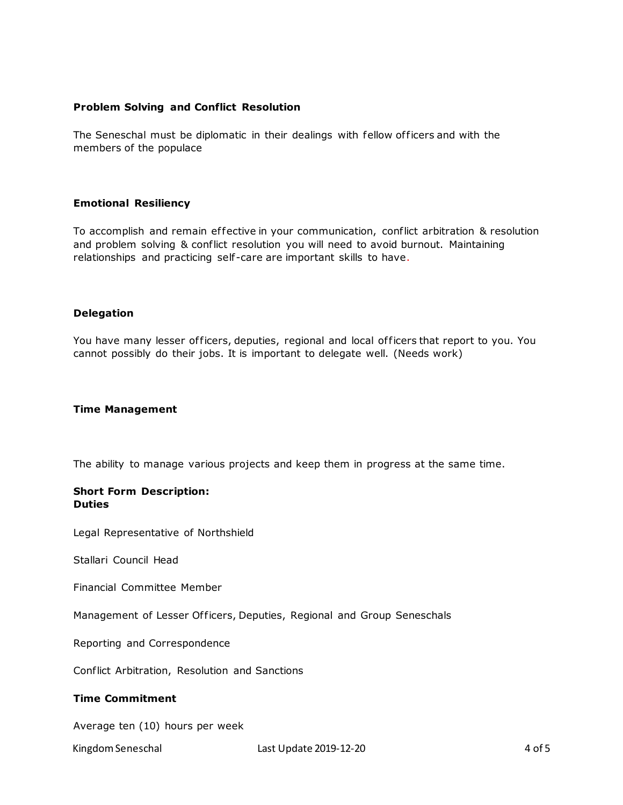# **Problem Solving and Conflict Resolution**

The Seneschal must be diplomatic in their dealings with fellow of ficers and with the members of the populace

#### **Emotional Resiliency**

To accomplish and remain ef fective in your communication, conflict arbitration & resolution and problem solving & conflict resolution you will need to avoid burnout. Maintaining relationships and practicing self-care are important skills to have.

# **Delegation**

You have many lesser officers, deputies, regional and local officers that report to you. You cannot possibly do their jobs. It is important to delegate well. (Needs work)

# **Time Management**

The ability to manage various projects and keep them in progress at the same time.

#### **Short Form Description: Duties**

Legal Representative of Northshield

Stallari Council Head

Financial Committee Member

Management of Lesser Officers, Deputies, Regional and Group Seneschals

Reporting and Correspondence

Conflict Arbitration, Resolution and Sanctions

# **Time Commitment**

Average ten (10) hours per week

Kingdom Seneschal **Last Update 2019-12-20** 4 of 5